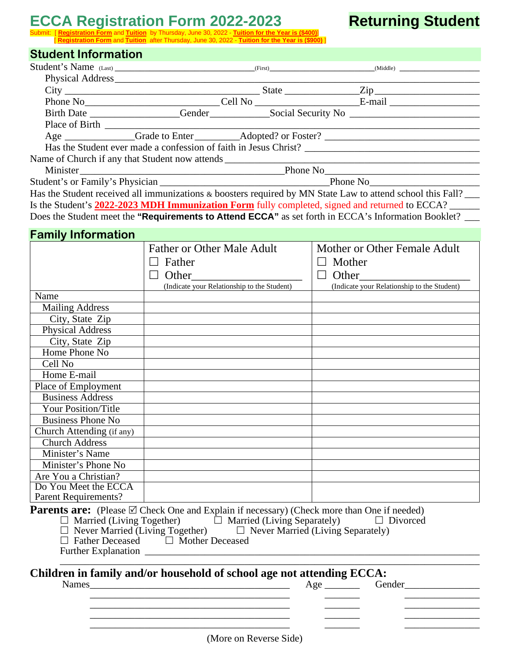# **ECCA Registration Form 2022-2023 Returning Student**

#### Submit: [ **Registration Form** and **Tuition** by Thursday, June 30, 2022 - **Tuition for the Year is (\$400)**] [ **Registration Form** and **Tuition** after Thursday, June 30, 2022 - **Tuition for the Year is (\$900)** ]

## **Student Information**

| <b>OLUUCIIL IIIIUI IIIALIUII</b> |                                                                                                                                                                                                                                                                                                                                                                                                                                                                                                                                                                                                                                                                                                       |                                                                                                            |
|----------------------------------|-------------------------------------------------------------------------------------------------------------------------------------------------------------------------------------------------------------------------------------------------------------------------------------------------------------------------------------------------------------------------------------------------------------------------------------------------------------------------------------------------------------------------------------------------------------------------------------------------------------------------------------------------------------------------------------------------------|------------------------------------------------------------------------------------------------------------|
|                                  |                                                                                                                                                                                                                                                                                                                                                                                                                                                                                                                                                                                                                                                                                                       |                                                                                                            |
|                                  |                                                                                                                                                                                                                                                                                                                                                                                                                                                                                                                                                                                                                                                                                                       |                                                                                                            |
|                                  |                                                                                                                                                                                                                                                                                                                                                                                                                                                                                                                                                                                                                                                                                                       |                                                                                                            |
|                                  |                                                                                                                                                                                                                                                                                                                                                                                                                                                                                                                                                                                                                                                                                                       |                                                                                                            |
|                                  |                                                                                                                                                                                                                                                                                                                                                                                                                                                                                                                                                                                                                                                                                                       |                                                                                                            |
|                                  |                                                                                                                                                                                                                                                                                                                                                                                                                                                                                                                                                                                                                                                                                                       |                                                                                                            |
|                                  |                                                                                                                                                                                                                                                                                                                                                                                                                                                                                                                                                                                                                                                                                                       |                                                                                                            |
|                                  |                                                                                                                                                                                                                                                                                                                                                                                                                                                                                                                                                                                                                                                                                                       |                                                                                                            |
|                                  |                                                                                                                                                                                                                                                                                                                                                                                                                                                                                                                                                                                                                                                                                                       |                                                                                                            |
|                                  |                                                                                                                                                                                                                                                                                                                                                                                                                                                                                                                                                                                                                                                                                                       |                                                                                                            |
|                                  |                                                                                                                                                                                                                                                                                                                                                                                                                                                                                                                                                                                                                                                                                                       |                                                                                                            |
|                                  |                                                                                                                                                                                                                                                                                                                                                                                                                                                                                                                                                                                                                                                                                                       | Has the Student received all immunizations & boosters required by MN State Law to attend school this Fall? |
|                                  |                                                                                                                                                                                                                                                                                                                                                                                                                                                                                                                                                                                                                                                                                                       | Is the Student's 2022-2023 MDH Immunization Form fully completed, signed and returned to ECCA?             |
|                                  |                                                                                                                                                                                                                                                                                                                                                                                                                                                                                                                                                                                                                                                                                                       | Does the Student meet the "Requirements to Attend ECCA" as set forth in ECCA's Information Booklet? __     |
|                                  |                                                                                                                                                                                                                                                                                                                                                                                                                                                                                                                                                                                                                                                                                                       |                                                                                                            |
| <b>Family Information</b>        |                                                                                                                                                                                                                                                                                                                                                                                                                                                                                                                                                                                                                                                                                                       |                                                                                                            |
|                                  | <b>Father or Other Male Adult</b>                                                                                                                                                                                                                                                                                                                                                                                                                                                                                                                                                                                                                                                                     | Mother or Other Female Adult                                                                               |
|                                  | $\Box$ Father                                                                                                                                                                                                                                                                                                                                                                                                                                                                                                                                                                                                                                                                                         | $\Box$ Mother                                                                                              |
|                                  | $\Box$ Other                                                                                                                                                                                                                                                                                                                                                                                                                                                                                                                                                                                                                                                                                          | $\Box$ Other                                                                                               |
|                                  | (Indicate your Relationship to the Student)                                                                                                                                                                                                                                                                                                                                                                                                                                                                                                                                                                                                                                                           | (Indicate your Relationship to the Student)                                                                |
| Name                             |                                                                                                                                                                                                                                                                                                                                                                                                                                                                                                                                                                                                                                                                                                       |                                                                                                            |
| <b>Mailing Address</b>           |                                                                                                                                                                                                                                                                                                                                                                                                                                                                                                                                                                                                                                                                                                       |                                                                                                            |
| City, State Zip                  |                                                                                                                                                                                                                                                                                                                                                                                                                                                                                                                                                                                                                                                                                                       |                                                                                                            |
| <b>Physical Address</b>          |                                                                                                                                                                                                                                                                                                                                                                                                                                                                                                                                                                                                                                                                                                       |                                                                                                            |
| City, State Zip                  |                                                                                                                                                                                                                                                                                                                                                                                                                                                                                                                                                                                                                                                                                                       |                                                                                                            |
| Home Phone No                    |                                                                                                                                                                                                                                                                                                                                                                                                                                                                                                                                                                                                                                                                                                       |                                                                                                            |
| Cell No                          |                                                                                                                                                                                                                                                                                                                                                                                                                                                                                                                                                                                                                                                                                                       |                                                                                                            |
| Home E-mail                      |                                                                                                                                                                                                                                                                                                                                                                                                                                                                                                                                                                                                                                                                                                       |                                                                                                            |
| Place of Employment              |                                                                                                                                                                                                                                                                                                                                                                                                                                                                                                                                                                                                                                                                                                       |                                                                                                            |
| <b>Business Address</b>          |                                                                                                                                                                                                                                                                                                                                                                                                                                                                                                                                                                                                                                                                                                       |                                                                                                            |
| <b>Your Position/Title</b>       |                                                                                                                                                                                                                                                                                                                                                                                                                                                                                                                                                                                                                                                                                                       |                                                                                                            |
| <b>Business Phone No</b>         |                                                                                                                                                                                                                                                                                                                                                                                                                                                                                                                                                                                                                                                                                                       |                                                                                                            |
| Church Attending (if any)        |                                                                                                                                                                                                                                                                                                                                                                                                                                                                                                                                                                                                                                                                                                       |                                                                                                            |
| <b>Church Address</b>            |                                                                                                                                                                                                                                                                                                                                                                                                                                                                                                                                                                                                                                                                                                       |                                                                                                            |
| Minister's Name                  |                                                                                                                                                                                                                                                                                                                                                                                                                                                                                                                                                                                                                                                                                                       |                                                                                                            |
| Minister's Phone No              |                                                                                                                                                                                                                                                                                                                                                                                                                                                                                                                                                                                                                                                                                                       |                                                                                                            |
| Are You a Christian?             |                                                                                                                                                                                                                                                                                                                                                                                                                                                                                                                                                                                                                                                                                                       |                                                                                                            |
| Do You Meet the ECCA             |                                                                                                                                                                                                                                                                                                                                                                                                                                                                                                                                                                                                                                                                                                       |                                                                                                            |
| Parent Requirements?             |                                                                                                                                                                                                                                                                                                                                                                                                                                                                                                                                                                                                                                                                                                       |                                                                                                            |
|                                  | <b>Parents are:</b> (Please $\boxtimes$ Check One and Explain if necessary) (Check more than One if needed)<br>$\begin{array}{ll}\n\square \text{ \textup{Married (Living Together)}}\\ \n\square \text{ \textup{Never Married (Living Together)}}\\ \n\square \text{ \textup{Father Deceased}}\\ \n\square \text{ \textup{Mother Deceased}}\\ \n\square \text{ \textup{Mother Deceased}}\\ \n\square \text{ \textup{Mother Deceased}}\\ \n\square \text{ \textup{Mother Deceased}}\\ \n\square \text{ \textup{Mother Deceased}}\\ \n\square \text{ \textup{Mother Deceased}}\\ \n\square \text{ \textup{Moster Deceased}}\\ \n\square \text{ \textup{Moster Deceased}}\\ \n\square \text{ \textup{M$ | $\Box$ Divorced                                                                                            |
|                                  |                                                                                                                                                                                                                                                                                                                                                                                                                                                                                                                                                                                                                                                                                                       |                                                                                                            |
|                                  | Children in family and/or household of school age not attending ECCA:                                                                                                                                                                                                                                                                                                                                                                                                                                                                                                                                                                                                                                 | Age Gender                                                                                                 |
|                                  |                                                                                                                                                                                                                                                                                                                                                                                                                                                                                                                                                                                                                                                                                                       |                                                                                                            |
|                                  |                                                                                                                                                                                                                                                                                                                                                                                                                                                                                                                                                                                                                                                                                                       |                                                                                                            |
|                                  |                                                                                                                                                                                                                                                                                                                                                                                                                                                                                                                                                                                                                                                                                                       |                                                                                                            |

\_\_\_\_\_\_\_\_\_\_\_\_\_\_\_\_\_\_\_\_\_\_\_\_\_\_\_\_\_\_\_\_\_\_\_\_\_\_\_\_ \_\_\_\_\_\_\_ \_\_\_\_\_\_\_\_\_\_\_\_\_\_\_